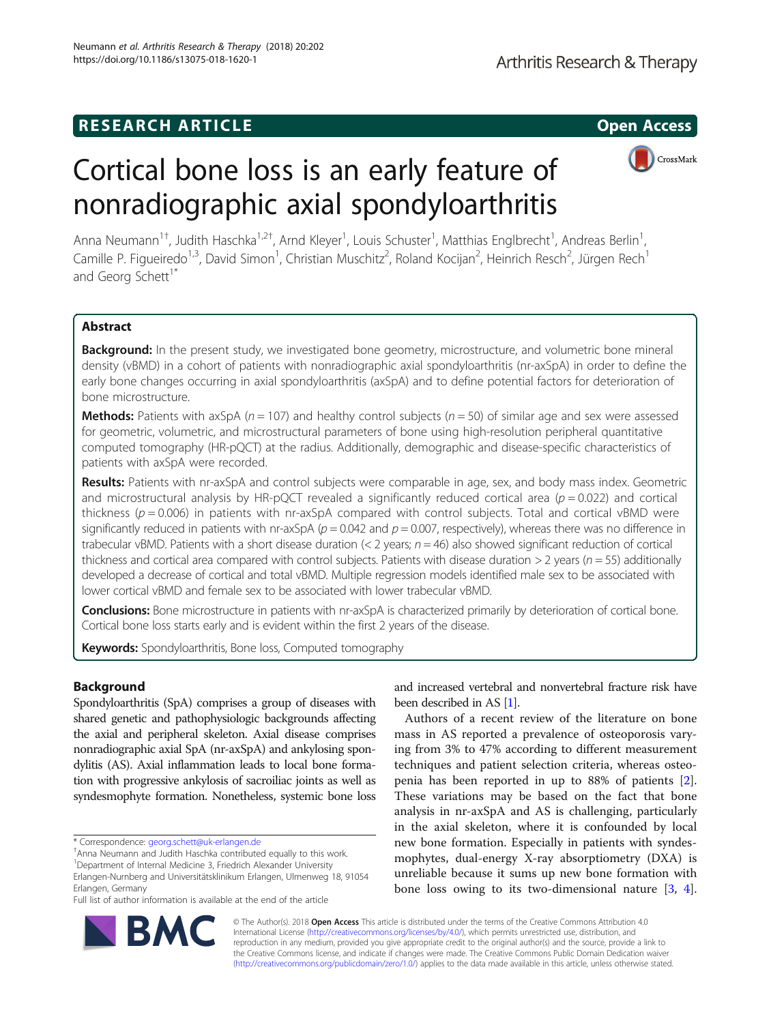# **RESEARCH ARTICLE Example 2014 CONSIDERING CONSIDERING CONSIDERING CONSIDERING CONSIDERING CONSIDERING CONSIDERING CONSIDERING CONSIDERING CONSIDERING CONSIDERING CONSIDERING CONSIDERING CONSIDERING CONSIDERING CONSIDE**



# Cortical bone loss is an early feature of nonradiographic axial spondyloarthritis

Anna Neumann<sup>1†</sup>, Judith Haschka<sup>1,2†</sup>, Arnd Kleyer<sup>1</sup>, Louis Schuster<sup>1</sup>, Matthias Englbrecht<sup>1</sup>, Andreas Berlin<sup>1</sup> , Camille P. Figueiredo<sup>1,3</sup>, David Simon<sup>1</sup>, Christian Muschitz<sup>2</sup>, Roland Kocijan<sup>2</sup>, Heinrich Resch<sup>2</sup>, Jürgen Rech<sup>1</sup> and Georg Schett<sup>1\*</sup>

# Abstract

Background: In the present study, we investigated bone geometry, microstructure, and volumetric bone mineral density (vBMD) in a cohort of patients with nonradiographic axial spondyloarthritis (nr-axSpA) in order to define the early bone changes occurring in axial spondyloarthritis (axSpA) and to define potential factors for deterioration of bone microstructure.

**Methods:** Patients with axSpA ( $n = 107$ ) and healthy control subjects ( $n = 50$ ) of similar age and sex were assessed for geometric, volumetric, and microstructural parameters of bone using high-resolution peripheral quantitative computed tomography (HR-pQCT) at the radius. Additionally, demographic and disease-specific characteristics of patients with axSpA were recorded.

Results: Patients with nr-axSpA and control subjects were comparable in age, sex, and body mass index. Geometric and microstructural analysis by HR-pQCT revealed a significantly reduced cortical area ( $p = 0.022$ ) and cortical thickness ( $p = 0.006$ ) in patients with nr-axSpA compared with control subjects. Total and cortical vBMD were significantly reduced in patients with nr-axSpA ( $p = 0.042$  and  $p = 0.007$ , respectively), whereas there was no difference in trabecular vBMD. Patients with a short disease duration  $(< 2$  years;  $n = 46$ ) also showed significant reduction of cortical thickness and cortical area compared with control subjects. Patients with disease duration  $>$  2 years ( $n = 55$ ) additionally developed a decrease of cortical and total vBMD. Multiple regression models identified male sex to be associated with lower cortical vBMD and female sex to be associated with lower trabecular vBMD.

**Conclusions:** Bone microstructure in patients with nr-axSpA is characterized primarily by deterioration of cortical bone. Cortical bone loss starts early and is evident within the first 2 years of the disease.

Keywords: Spondyloarthritis, Bone loss, Computed tomography

# Background

Spondyloarthritis (SpA) comprises a group of diseases with shared genetic and pathophysiologic backgrounds affecting the axial and peripheral skeleton. Axial disease comprises nonradiographic axial SpA (nr-axSpA) and ankylosing spondylitis (AS). Axial inflammation leads to local bone formation with progressive ankylosis of sacroiliac joints as well as syndesmophyte formation. Nonetheless, systemic bone loss

\* Correspondence: [georg.schett@uk-erlangen.de](mailto:georg.schett@uk-erlangen.de) †

Anna Neumann and Judith Haschka contributed equally to this work.

<sup>1</sup>Department of Internal Medicine 3, Friedrich Alexander University

Full list of author information is available at the end of the article

and increased vertebral and nonvertebral fracture risk have been described in AS [\[1\]](#page-9-0).

Authors of a recent review of the literature on bone mass in AS reported a prevalence of osteoporosis varying from 3% to 47% according to different measurement techniques and patient selection criteria, whereas osteopenia has been reported in up to 88% of patients [\[2](#page-9-0)]. These variations may be based on the fact that bone analysis in nr-axSpA and AS is challenging, particularly in the axial skeleton, where it is confounded by local new bone formation. Especially in patients with syndesmophytes, dual-energy X-ray absorptiometry (DXA) is unreliable because it sums up new bone formation with bone loss owing to its two-dimensional nature [\[3](#page-9-0), [4](#page-9-0)].



© The Author(s). 2018 Open Access This article is distributed under the terms of the Creative Commons Attribution 4.0 International License [\(http://creativecommons.org/licenses/by/4.0/](http://creativecommons.org/licenses/by/4.0/)), which permits unrestricted use, distribution, and reproduction in any medium, provided you give appropriate credit to the original author(s) and the source, provide a link to the Creative Commons license, and indicate if changes were made. The Creative Commons Public Domain Dedication waiver [\(http://creativecommons.org/publicdomain/zero/1.0/](http://creativecommons.org/publicdomain/zero/1.0/)) applies to the data made available in this article, unless otherwise stated.

Erlangen-Nurnberg and Universitätsklinikum Erlangen, Ulmenweg 18, 91054 Erlangen, Germany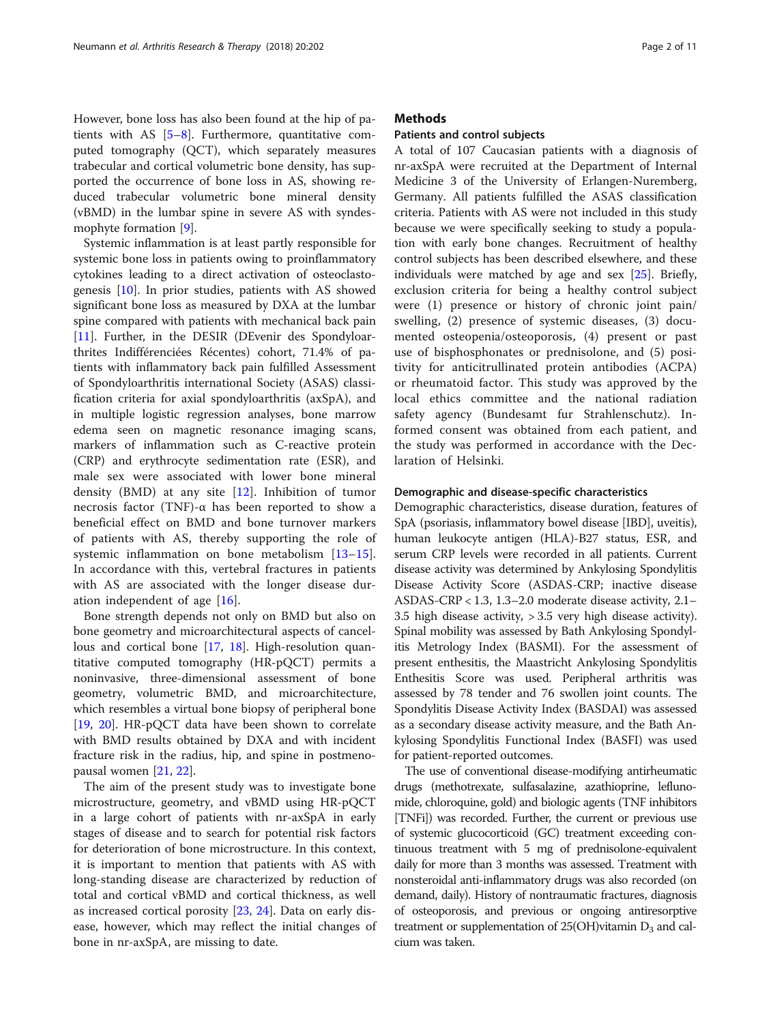However, bone loss has also been found at the hip of patients with AS [\[5](#page-9-0)–[8\]](#page-9-0). Furthermore, quantitative computed tomography (QCT), which separately measures trabecular and cortical volumetric bone density, has supported the occurrence of bone loss in AS, showing reduced trabecular volumetric bone mineral density (vBMD) in the lumbar spine in severe AS with syndesmophyte formation [[9\]](#page-9-0).

Systemic inflammation is at least partly responsible for systemic bone loss in patients owing to proinflammatory cytokines leading to a direct activation of osteoclastogenesis [\[10](#page-9-0)]. In prior studies, patients with AS showed significant bone loss as measured by DXA at the lumbar spine compared with patients with mechanical back pain [[11\]](#page-9-0). Further, in the DESIR (DEvenir des Spondyloarthrites Indifférenciées Récentes) cohort, 71.4% of patients with inflammatory back pain fulfilled Assessment of Spondyloarthritis international Society (ASAS) classification criteria for axial spondyloarthritis (axSpA), and in multiple logistic regression analyses, bone marrow edema seen on magnetic resonance imaging scans, markers of inflammation such as C-reactive protein (CRP) and erythrocyte sedimentation rate (ESR), and male sex were associated with lower bone mineral density (BMD) at any site  $[12]$  $[12]$ . Inhibition of tumor necrosis factor (TNF)-α has been reported to show a beneficial effect on BMD and bone turnover markers of patients with AS, thereby supporting the role of systemic inflammation on bone metabolism [\[13](#page-9-0)–[15](#page-9-0)]. In accordance with this, vertebral fractures in patients with AS are associated with the longer disease duration independent of age [\[16](#page-9-0)].

Bone strength depends not only on BMD but also on bone geometry and microarchitectural aspects of cancel-lous and cortical bone [[17](#page-9-0), [18](#page-9-0)]. High-resolution quantitative computed tomography (HR-pQCT) permits a noninvasive, three-dimensional assessment of bone geometry, volumetric BMD, and microarchitecture, which resembles a virtual bone biopsy of peripheral bone [[19,](#page-10-0) [20](#page-10-0)]. HR-pQCT data have been shown to correlate with BMD results obtained by DXA and with incident fracture risk in the radius, hip, and spine in postmenopausal women [\[21](#page-10-0), [22](#page-10-0)].

The aim of the present study was to investigate bone microstructure, geometry, and vBMD using HR-pQCT in a large cohort of patients with nr-axSpA in early stages of disease and to search for potential risk factors for deterioration of bone microstructure. In this context, it is important to mention that patients with AS with long-standing disease are characterized by reduction of total and cortical vBMD and cortical thickness, as well as increased cortical porosity [[23,](#page-10-0) [24\]](#page-10-0). Data on early disease, however, which may reflect the initial changes of bone in nr-axSpA, are missing to date.

# **Methods**

## Patients and control subjects

A total of 107 Caucasian patients with a diagnosis of nr-axSpA were recruited at the Department of Internal Medicine 3 of the University of Erlangen-Nuremberg, Germany. All patients fulfilled the ASAS classification criteria. Patients with AS were not included in this study because we were specifically seeking to study a population with early bone changes. Recruitment of healthy control subjects has been described elsewhere, and these individuals were matched by age and sex [\[25](#page-10-0)]. Briefly, exclusion criteria for being a healthy control subject were (1) presence or history of chronic joint pain/ swelling, (2) presence of systemic diseases, (3) documented osteopenia/osteoporosis, (4) present or past use of bisphosphonates or prednisolone, and (5) positivity for anticitrullinated protein antibodies (ACPA) or rheumatoid factor. This study was approved by the local ethics committee and the national radiation safety agency (Bundesamt fur Strahlenschutz). Informed consent was obtained from each patient, and the study was performed in accordance with the Declaration of Helsinki.

## Demographic and disease-specific characteristics

Demographic characteristics, disease duration, features of SpA (psoriasis, inflammatory bowel disease [IBD], uveitis), human leukocyte antigen (HLA)-B27 status, ESR, and serum CRP levels were recorded in all patients. Current disease activity was determined by Ankylosing Spondylitis Disease Activity Score (ASDAS-CRP; inactive disease ASDAS-CRP < 1.3, 1.3–2.0 moderate disease activity, 2.1– 3.5 high disease activity, > 3.5 very high disease activity). Spinal mobility was assessed by Bath Ankylosing Spondylitis Metrology Index (BASMI). For the assessment of present enthesitis, the Maastricht Ankylosing Spondylitis Enthesitis Score was used. Peripheral arthritis was assessed by 78 tender and 76 swollen joint counts. The Spondylitis Disease Activity Index (BASDAI) was assessed as a secondary disease activity measure, and the Bath Ankylosing Spondylitis Functional Index (BASFI) was used for patient-reported outcomes.

The use of conventional disease-modifying antirheumatic drugs (methotrexate, sulfasalazine, azathioprine, leflunomide, chloroquine, gold) and biologic agents (TNF inhibitors [TNFi]) was recorded. Further, the current or previous use of systemic glucocorticoid (GC) treatment exceeding continuous treatment with 5 mg of prednisolone-equivalent daily for more than 3 months was assessed. Treatment with nonsteroidal anti-inflammatory drugs was also recorded (on demand, daily). History of nontraumatic fractures, diagnosis of osteoporosis, and previous or ongoing antiresorptive treatment or supplementation of  $25(OH)$ vitamin  $D_3$  and calcium was taken.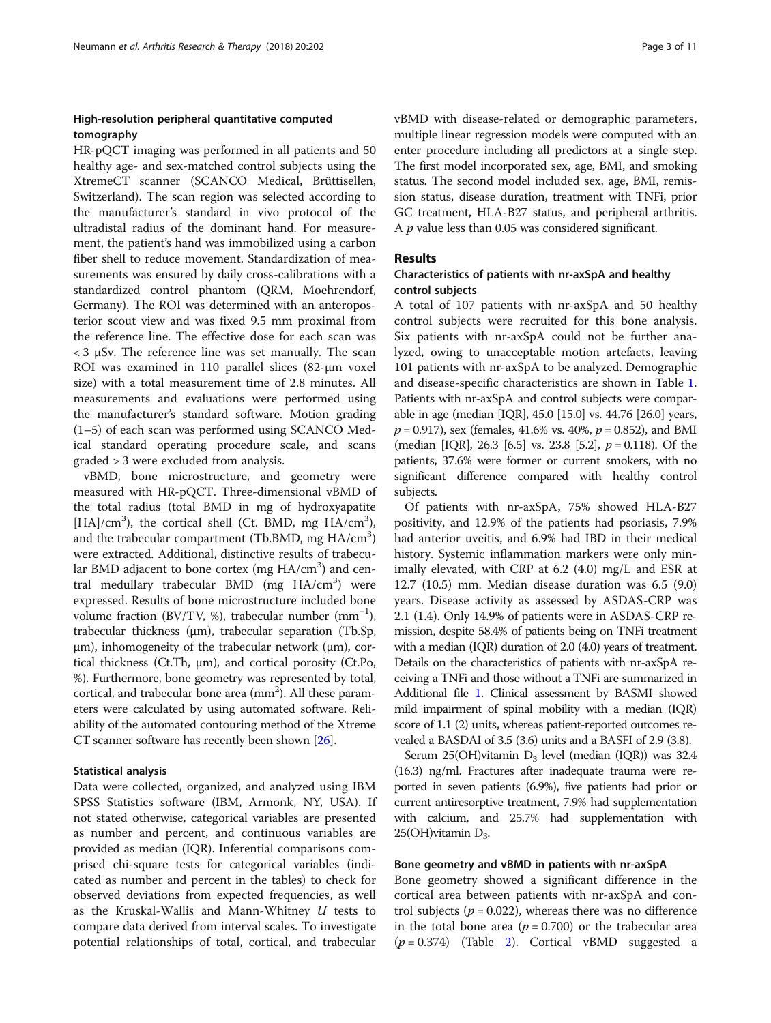# High-resolution peripheral quantitative computed tomography

HR-pQCT imaging was performed in all patients and 50 healthy age- and sex-matched control subjects using the XtremeCT scanner (SCANCO Medical, Brüttisellen, Switzerland). The scan region was selected according to the manufacturer's standard in vivo protocol of the ultradistal radius of the dominant hand. For measurement, the patient's hand was immobilized using a carbon fiber shell to reduce movement. Standardization of measurements was ensured by daily cross-calibrations with a standardized control phantom (QRM, Moehrendorf, Germany). The ROI was determined with an anteroposterior scout view and was fixed 9.5 mm proximal from the reference line. The effective dose for each scan was < 3 μSv. The reference line was set manually. The scan ROI was examined in 110 parallel slices (82-μm voxel size) with a total measurement time of 2.8 minutes. All measurements and evaluations were performed using the manufacturer's standard software. Motion grading (1–5) of each scan was performed using SCANCO Medical standard operating procedure scale, and scans graded > 3 were excluded from analysis.

vBMD, bone microstructure, and geometry were measured with HR-pQCT. Three-dimensional vBMD of the total radius (total BMD in mg of hydroxyapatite [HA]/cm<sup>3</sup>), the cortical shell (Ct. BMD, mg HA/cm<sup>3</sup>), and the trabecular compartment (Tb.BMD, mg HA/cm<sup>3</sup>) were extracted. Additional, distinctive results of trabecular BMD adjacent to bone cortex (mg HA/cm<sup>3</sup>) and central medullary trabecular BMD (mg HA/cm<sup>3</sup>) were expressed. Results of bone microstructure included bone volume fraction (BV/TV, %), trabecular number (mm−<sup>1</sup> ), trabecular thickness (μm), trabecular separation (Tb.Sp, μm), inhomogeneity of the trabecular network (μm), cortical thickness (Ct.Th, μm), and cortical porosity (Ct.Po, %). Furthermore, bone geometry was represented by total, cortical, and trabecular bone area (mm<sup>2</sup>). All these parameters were calculated by using automated software. Reliability of the automated contouring method of the Xtreme CT scanner software has recently been shown [\[26\]](#page-10-0).

#### Statistical analysis

Data were collected, organized, and analyzed using IBM SPSS Statistics software (IBM, Armonk, NY, USA). If not stated otherwise, categorical variables are presented as number and percent, and continuous variables are provided as median (IQR). Inferential comparisons comprised chi-square tests for categorical variables (indicated as number and percent in the tables) to check for observed deviations from expected frequencies, as well as the Kruskal-Wallis and Mann-Whitney  $U$  tests to compare data derived from interval scales. To investigate potential relationships of total, cortical, and trabecular vBMD with disease-related or demographic parameters, multiple linear regression models were computed with an enter procedure including all predictors at a single step. The first model incorporated sex, age, BMI, and smoking status. The second model included sex, age, BMI, remission status, disease duration, treatment with TNFi, prior GC treatment, HLA-B27 status, and peripheral arthritis. A p value less than 0.05 was considered significant.

# Results

# Characteristics of patients with nr-axSpA and healthy control subjects

A total of 107 patients with nr-axSpA and 50 healthy control subjects were recruited for this bone analysis. Six patients with nr-axSpA could not be further analyzed, owing to unacceptable motion artefacts, leaving 101 patients with nr-axSpA to be analyzed. Demographic and disease-specific characteristics are shown in Table [1](#page-3-0). Patients with nr-axSpA and control subjects were comparable in age (median [IQR], 45.0 [15.0] vs. 44.76 [26.0] years,  $p = 0.917$ ), sex (females, 41.6% vs. 40%,  $p = 0.852$ ), and BMI (median [IQR], 26.3 [6.5] vs. 23.8 [5.2],  $p = 0.118$ ). Of the patients, 37.6% were former or current smokers, with no significant difference compared with healthy control subjects.

Of patients with nr-axSpA, 75% showed HLA-B27 positivity, and 12.9% of the patients had psoriasis, 7.9% had anterior uveitis, and 6.9% had IBD in their medical history. Systemic inflammation markers were only minimally elevated, with CRP at 6.2 (4.0) mg/L and ESR at 12.7 (10.5) mm. Median disease duration was 6.5 (9.0) years. Disease activity as assessed by ASDAS-CRP was 2.1 (1.4). Only 14.9% of patients were in ASDAS-CRP remission, despite 58.4% of patients being on TNFi treatment with a median (IQR) duration of 2.0 (4.0) years of treatment. Details on the characteristics of patients with nr-axSpA receiving a TNFi and those without a TNFi are summarized in Additional file [1.](#page-9-0) Clinical assessment by BASMI showed mild impairment of spinal mobility with a median (IQR) score of 1.1 (2) units, whereas patient-reported outcomes revealed a BASDAI of 3.5 (3.6) units and a BASFI of 2.9 (3.8).

Serum 25(OH)vitamin  $D_3$  level (median (IQR)) was 32.4 (16.3) ng/ml. Fractures after inadequate trauma were reported in seven patients (6.9%), five patients had prior or current antiresorptive treatment, 7.9% had supplementation with calcium, and 25.7% had supplementation with  $25(OH)$ vitamin  $D_3$ .

#### Bone geometry and vBMD in patients with nr-axSpA

Bone geometry showed a significant difference in the cortical area between patients with nr-axSpA and control subjects ( $p = 0.022$ ), whereas there was no difference in the total bone area ( $p = 0.700$ ) or the trabecular area  $(p = 0.374)$  (Table [2](#page-4-0)). Cortical vBMD suggested a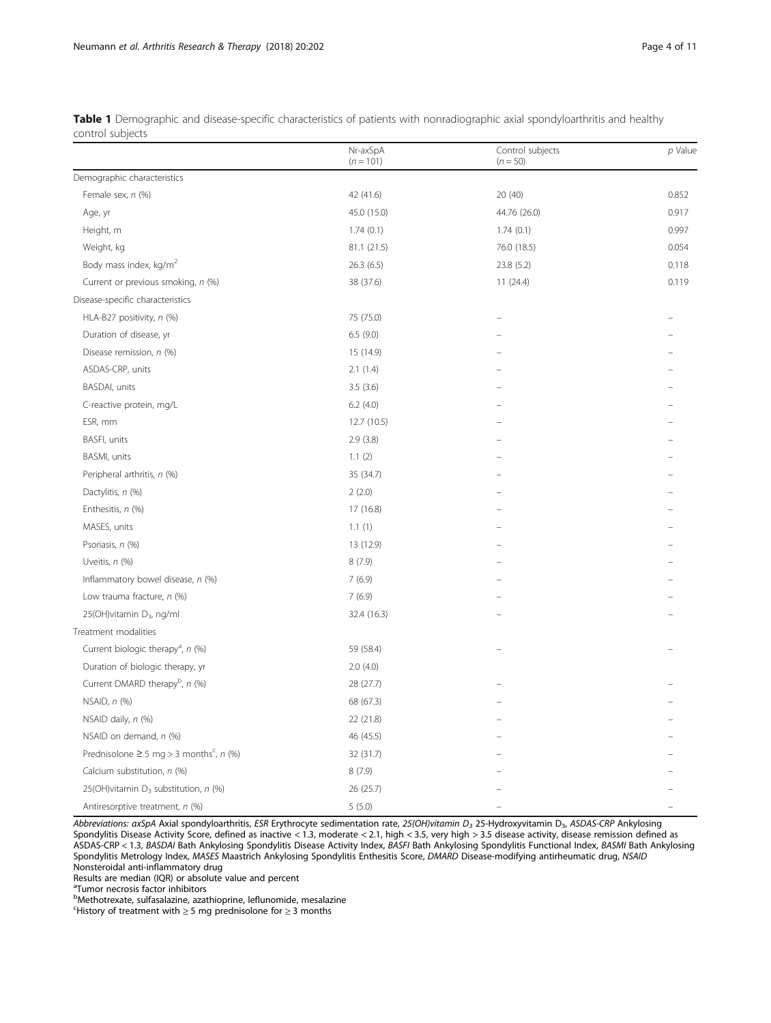|                                                          | Nr-axSpA<br>$(n = 101)$ | Control subjects<br>$(n = 50)$ | $p$ Value |
|----------------------------------------------------------|-------------------------|--------------------------------|-----------|
| Demographic characteristics                              |                         |                                |           |
| Female sex, n (%)                                        | 42 (41.6)               | 20(40)                         | 0.852     |
| Age, yr                                                  | 45.0 (15.0)             | 44.76 (26.0)                   | 0.917     |
| Height, m                                                | 1.74(0.1)               | 1.74(0.1)                      | 0.997     |
| Weight, kg                                               | 81.1 (21.5)             | 76.0 (18.5)                    | 0.054     |
| Body mass index, kg/m <sup>2</sup>                       | 26.3(6.5)               | 23.8(5.2)                      | 0.118     |
| Current or previous smoking, n (%)                       | 38 (37.6)               | 11(24.4)                       | 0.119     |
| Disease-specific characteristics                         |                         |                                |           |
| HLA-B27 positivity, n (%)                                | 75 (75.0)               |                                |           |
| Duration of disease, yr                                  | 6.5(9.0)                |                                |           |
| Disease remission, n (%)                                 | 15 (14.9)               |                                |           |
| ASDAS-CRP, units                                         | 2.1(1.4)                |                                |           |
| BASDAI, units                                            | 3.5(3.6)                |                                |           |
| C-reactive protein, mg/L                                 | 6.2(4.0)                |                                |           |
| ESR, mm                                                  | 12.7 (10.5)             |                                |           |
| BASFI, units                                             | 2.9(3.8)                |                                |           |
| BASMI, units                                             | 1.1(2)                  |                                |           |
| Peripheral arthritis, n (%)                              | 35 (34.7)               |                                |           |
| Dactylitis, n (%)                                        | 2(2.0)                  |                                |           |
| Enthesitis, n (%)                                        | 17 (16.8)               |                                |           |
| MASES, units                                             | 1.1(1)                  |                                |           |
| Psoriasis, n (%)                                         | 13 (12.9)               |                                |           |
| Uveitis, n (%)                                           | 8(7.9)                  |                                |           |
| Inflammatory bowel disease, n (%)                        | 7(6.9)                  |                                |           |
| Low trauma fracture, n (%)                               | 7(6.9)                  |                                |           |
| 25(OH)vitamin D <sub>3</sub> , ng/ml                     | 32.4 (16.3)             |                                |           |
| Treatment modalities                                     |                         |                                |           |
| Current biologic therapy <sup>a</sup> , n (%)            | 59 (58.4)               |                                |           |
| Duration of biologic therapy, yr                         | 2.0(4.0)                |                                |           |
| Current DMARD therapy <sup>b</sup> , n (%)               | 28 (27.7)               |                                |           |
| NSAID, n (%)                                             | 68 (67.3)               |                                |           |
| NSAID daily, n (%)                                       | 22 (21.8)               |                                |           |
| NSAID on demand, n (%)                                   | 46 (45.5)               |                                |           |
| Prednisolone $\geq$ 5 mg > 3 months <sup>c</sup> , n (%) | 32 (31.7)               |                                |           |
| Calcium substitution, n (%)                              | 8(7.9)                  |                                |           |
| 25(OH)vitamin $D_3$ substitution, n (%)                  | 26 (25.7)               |                                |           |
| Antiresorptive treatment, n (%)                          | 5(5.0)                  |                                |           |

<span id="page-3-0"></span>Table 1 Demographic and disease-specific characteristics of patients with nonradiographic axial spondyloarthritis and healthy control subjects

Abbreviations:  $axSpA$  Axial spondyloarthritis, ESR Erythrocyte sedimentation rate, 25(OH)vitamin D<sub>3</sub>, 25-Hydroxyvitamin D<sub>3</sub>, ASDAS-CRP Ankylosing Spondylitis Disease Activity Score, defined as inactive < 1.3, moderate < 2.1, high < 3.5, very high > 3.5 disease activity, disease remission defined as ASDAS-CRP < 1.3, BASDAI Bath Ankylosing Spondylitis Disease Activity Index, BASFI Bath Ankylosing Spondylitis Functional Index, BASMI Bath Ankylosing Spondylitis Metrology Index, MASES Maastrich Ankylosing Spondylitis Enthesitis Score, DMARD Disease-modifying antirheumatic drug, NSAID Nonsteroidal anti-inflammatory drug

Results are median (IQR) or absolute value and percent

<sup>a</sup>Tumor necrosis factor inhibitors

<sup>b</sup>Methotrexate, sulfasalazine, azathioprine, leflunomide, mesalazine

History of treatment with  $\geq$  5 mg prednisolone for  $\geq$  3 months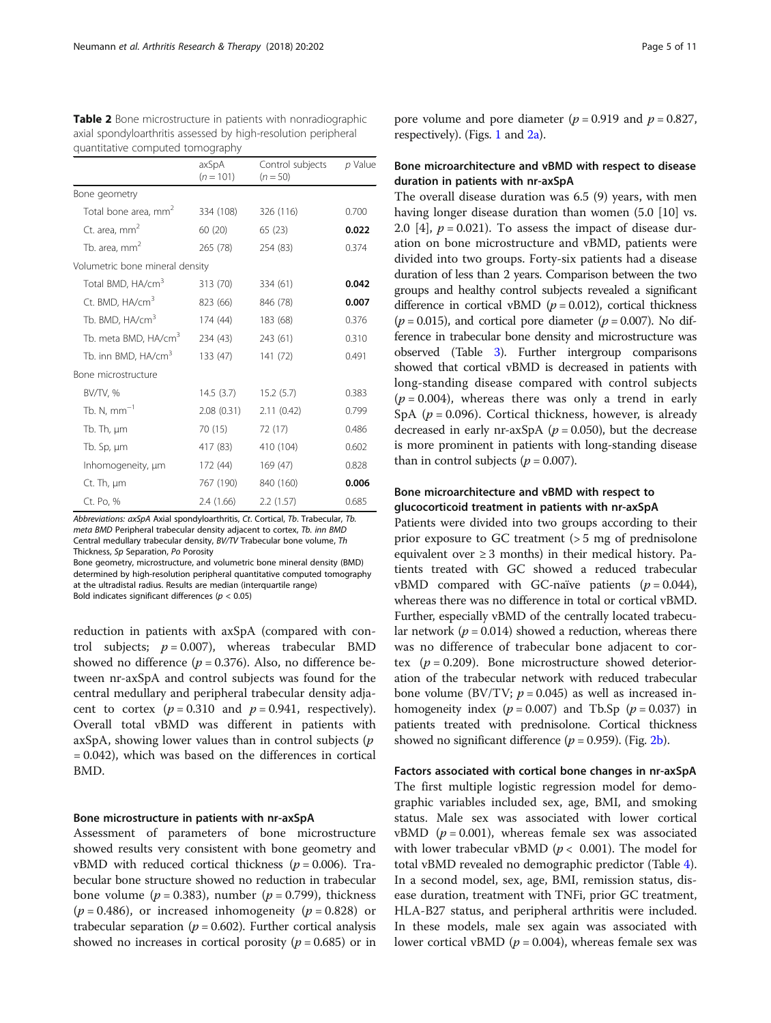| quantitative computed tomography |                      |                                |           |
|----------------------------------|----------------------|--------------------------------|-----------|
|                                  | axSpA<br>$(n = 101)$ | Control subjects<br>$(n = 50)$ | $p$ Value |
| Bone geometry                    |                      |                                |           |
| Total bone area, mm <sup>2</sup> | 334 (108)            | 326 (116)                      | 0.700     |
| Ct. area, $mm2$                  | 60 (20)              | 65 (23)                        | 0.022     |
| Tb. area, mm <sup>2</sup>        | 265 (78)             | 254 (83)                       | 0.374     |
| Volumetric bone mineral density  |                      |                                |           |
| Total BMD, HA/cm <sup>3</sup>    | 313 (70)             | 334 (61)                       | 0.042     |
| Ct. BMD, HA/cm <sup>3</sup>      | 823 (66)             | 846 (78)                       | 0.007     |
| Tb. BMD, HA/cm <sup>3</sup>      | 174(44)              | 183 (68)                       | 0.376     |
| Tb. meta BMD, HA/cm <sup>3</sup> | 234 (43)             | 243 (61)                       | 0.310     |
| Tb. inn BMD, HA/cm <sup>3</sup>  | 133 (47)             | 141 (72)                       | 0.491     |
| Bone microstructure              |                      |                                |           |
| BV/TV, %                         | 14.5(3.7)            | 15.2(5.7)                      | 0.383     |
| Tb. N, $mm^{-1}$                 | 2.08(0.31)           | 2.11(0.42)                     | 0.799     |
| Tb. Th, µm                       | 70 (15)              | 72 (17)                        | 0.486     |
| Tb. Sp, µm                       | 417 (83)             | 410 (104)                      | 0.602     |
| Inhomogeneity, µm                | 172 (44)             | 169 (47)                       | 0.828     |
| Ct. Th, µm                       | 767 (190)            | 840 (160)                      | 0.006     |
| Ct. Po, %                        | 2.4 (1.66)           | 2.2(1.57)                      | 0.685     |

<span id="page-4-0"></span>Table 2 Bone microstructure in patients with nonradiographic axial spondyloarthritis assessed by high-resolution peripheral

Abbreviations: axSpA Axial spondyloarthritis, Ct. Cortical, Tb. Trabecular, Tb. meta BMD Peripheral trabecular density adjacent to cortex, Tb. inn BMD Central medullary trabecular density, BV/TV Trabecular bone volume, Th Thickness, Sp Separation, Po Porosity

Bone geometry, microstructure, and volumetric bone mineral density (BMD) determined by high-resolution peripheral quantitative computed tomography at the ultradistal radius. Results are median (interquartile range) Bold indicates significant differences ( $p < 0.05$ )

reduction in patients with axSpA (compared with control subjects;  $p = 0.007$ ), whereas trabecular BMD showed no difference  $(p = 0.376)$ . Also, no difference between nr-axSpA and control subjects was found for the central medullary and peripheral trabecular density adjacent to cortex  $(p = 0.310$  and  $p = 0.941$ , respectively). Overall total vBMD was different in patients with  $axSpA$ , showing lower values than in control subjects ( $p$ ) = 0.042), which was based on the differences in cortical BMD.

# Bone microstructure in patients with nr-axSpA

Assessment of parameters of bone microstructure showed results very consistent with bone geometry and vBMD with reduced cortical thickness ( $p = 0.006$ ). Trabecular bone structure showed no reduction in trabecular bone volume ( $p = 0.383$ ), number ( $p = 0.799$ ), thickness  $(p = 0.486)$ , or increased inhomogeneity  $(p = 0.828)$  or trabecular separation ( $p = 0.602$ ). Further cortical analysis showed no increases in cortical porosity ( $p = 0.685$ ) or in pore volume and pore diameter ( $p = 0.919$  and  $p = 0.827$ , respectively). (Figs. [1](#page-5-0) and [2a\)](#page-6-0).

# Bone microarchitecture and vBMD with respect to disease duration in patients with nr-axSpA

The overall disease duration was 6.5 (9) years, with men having longer disease duration than women (5.0 [10] vs. 2.0 [4],  $p = 0.021$ ). To assess the impact of disease duration on bone microstructure and vBMD, patients were divided into two groups. Forty-six patients had a disease duration of less than 2 years. Comparison between the two groups and healthy control subjects revealed a significant difference in cortical vBMD ( $p = 0.012$ ), cortical thickness  $(p = 0.015)$ , and cortical pore diameter  $(p = 0.007)$ . No difference in trabecular bone density and microstructure was observed (Table [3](#page-7-0)). Further intergroup comparisons showed that cortical vBMD is decreased in patients with long-standing disease compared with control subjects  $(p = 0.004)$ , whereas there was only a trend in early SpA ( $p = 0.096$ ). Cortical thickness, however, is already decreased in early nr-axSpA ( $p = 0.050$ ), but the decrease is more prominent in patients with long-standing disease than in control subjects ( $p = 0.007$ ).

# Bone microarchitecture and vBMD with respect to glucocorticoid treatment in patients with nr-axSpA

Patients were divided into two groups according to their prior exposure to GC treatment (> 5 mg of prednisolone equivalent over  $\geq$  3 months) in their medical history. Patients treated with GC showed a reduced trabecular vBMD compared with GC-naïve patients  $(p = 0.044)$ , whereas there was no difference in total or cortical vBMD. Further, especially vBMD of the centrally located trabecular network ( $p = 0.014$ ) showed a reduction, whereas there was no difference of trabecular bone adjacent to cortex  $(p = 0.209)$ . Bone microstructure showed deterioration of the trabecular network with reduced trabecular bone volume (BV/TV;  $p = 0.045$ ) as well as increased inhomogeneity index ( $p = 0.007$ ) and Tb.Sp ( $p = 0.037$ ) in patients treated with prednisolone. Cortical thickness showed no significant difference ( $p = 0.959$ ). (Fig. [2b](#page-6-0)).

Factors associated with cortical bone changes in nr-axSpA The first multiple logistic regression model for demographic variables included sex, age, BMI, and smoking status. Male sex was associated with lower cortical vBMD ( $p = 0.001$ ), whereas female sex was associated with lower trabecular vBMD ( $p < 0.001$ ). The model for total vBMD revealed no demographic predictor (Table [4](#page-8-0)). In a second model, sex, age, BMI, remission status, disease duration, treatment with TNFi, prior GC treatment, HLA-B27 status, and peripheral arthritis were included. In these models, male sex again was associated with lower cortical vBMD ( $p = 0.004$ ), whereas female sex was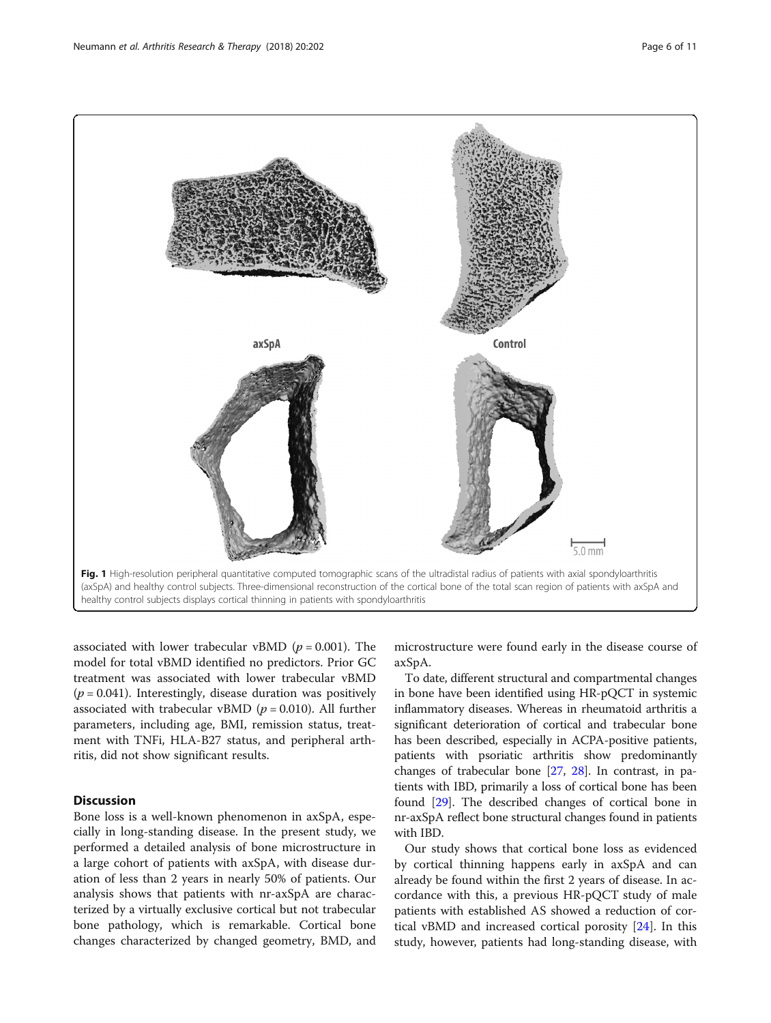<span id="page-5-0"></span>

associated with lower trabecular vBMD ( $p = 0.001$ ). The model for total vBMD identified no predictors. Prior GC treatment was associated with lower trabecular vBMD  $(p = 0.041)$ . Interestingly, disease duration was positively associated with trabecular vBMD ( $p = 0.010$ ). All further parameters, including age, BMI, remission status, treatment with TNFi, HLA-B27 status, and peripheral arthritis, did not show significant results.

# **Discussion**

Bone loss is a well-known phenomenon in axSpA, especially in long-standing disease. In the present study, we performed a detailed analysis of bone microstructure in a large cohort of patients with axSpA, with disease duration of less than 2 years in nearly 50% of patients. Our analysis shows that patients with nr-axSpA are characterized by a virtually exclusive cortical but not trabecular bone pathology, which is remarkable. Cortical bone changes characterized by changed geometry, BMD, and

microstructure were found early in the disease course of axSpA.

To date, different structural and compartmental changes in bone have been identified using HR-pQCT in systemic inflammatory diseases. Whereas in rheumatoid arthritis a significant deterioration of cortical and trabecular bone has been described, especially in ACPA-positive patients, patients with psoriatic arthritis show predominantly changes of trabecular bone [\[27](#page-10-0), [28](#page-10-0)]. In contrast, in patients with IBD, primarily a loss of cortical bone has been found [[29](#page-10-0)]. The described changes of cortical bone in nr-axSpA reflect bone structural changes found in patients with IBD.

Our study shows that cortical bone loss as evidenced by cortical thinning happens early in axSpA and can already be found within the first 2 years of disease. In accordance with this, a previous HR-pQCT study of male patients with established AS showed a reduction of cortical vBMD and increased cortical porosity [[24\]](#page-10-0). In this study, however, patients had long-standing disease, with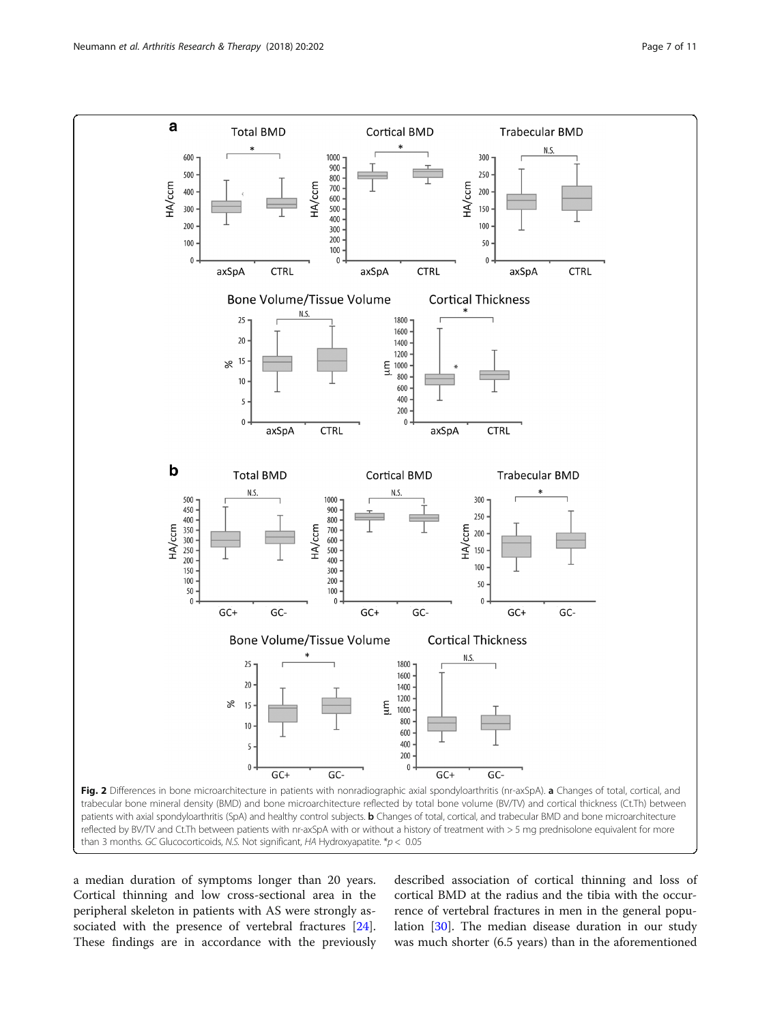<span id="page-6-0"></span>

a median duration of symptoms longer than 20 years. Cortical thinning and low cross-sectional area in the peripheral skeleton in patients with AS were strongly as-sociated with the presence of vertebral fractures [\[24](#page-10-0)]. These findings are in accordance with the previously

described association of cortical thinning and loss of cortical BMD at the radius and the tibia with the occurrence of vertebral fractures in men in the general population [[30\]](#page-10-0). The median disease duration in our study was much shorter (6.5 years) than in the aforementioned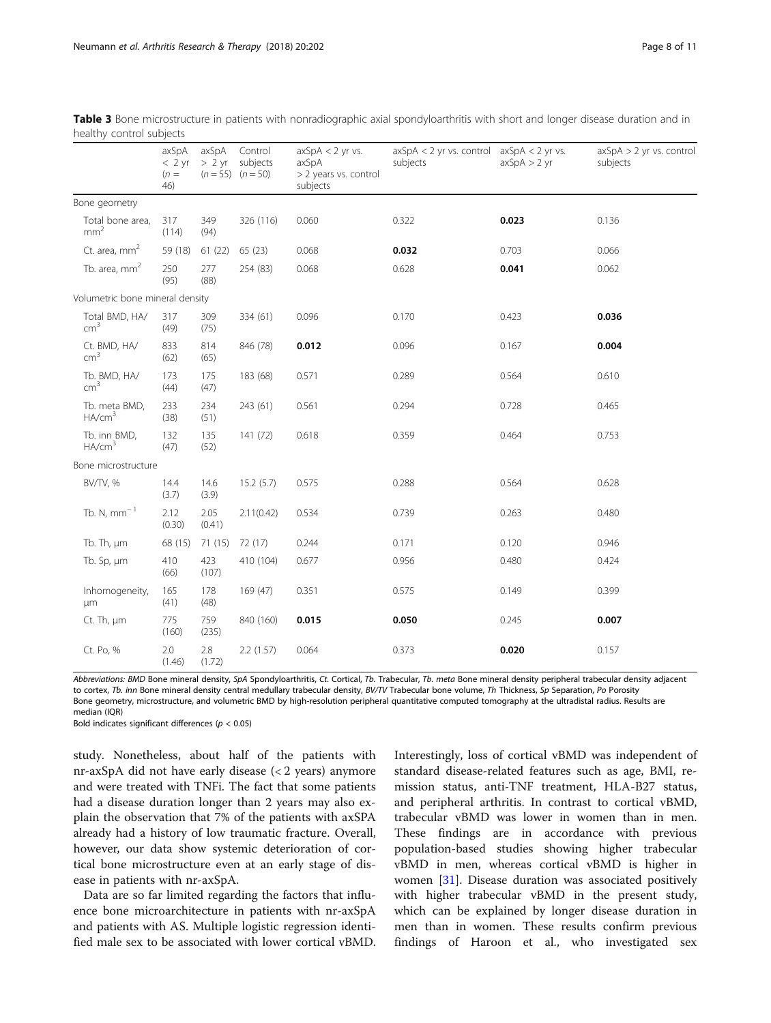|                                     | axSpA<br>$< 2$ yr<br>$(n =$<br>46) | axSpA<br>> 2 yr | Control<br>subjects<br>$(n = 55)$ $(n = 50)$ | $axSpA < 2$ yr vs. control $axSpA < 2$ yr vs.<br>$axSpA < 2$ yr vs.<br>axSpA<br>subjects<br>> 2 years vs. control<br>subjects |       | $axSpA > 2$ yr | $axSpA > 2$ yr vs. control<br>subjects |
|-------------------------------------|------------------------------------|-----------------|----------------------------------------------|-------------------------------------------------------------------------------------------------------------------------------|-------|----------------|----------------------------------------|
| Bone geometry                       |                                    |                 |                                              |                                                                                                                               |       |                |                                        |
| Total bone area,<br>mm <sup>2</sup> | 317<br>(114)                       | 349<br>(94)     | 326 (116)                                    | 0.060                                                                                                                         | 0.322 | 0.023          | 0.136                                  |
| Ct. area, mm <sup>2</sup>           | 59 (18)                            | 61(22)          | 65(23)                                       | 0.068                                                                                                                         | 0.032 | 0.703          | 0.066                                  |
| Tb. area, $mm2$                     | 250<br>(95)                        | 277<br>(88)     | 254 (83)                                     | 0.068                                                                                                                         | 0.628 | 0.041          | 0.062                                  |
| Volumetric bone mineral density     |                                    |                 |                                              |                                                                                                                               |       |                |                                        |
| Total BMD, HA/<br>cm <sup>3</sup>   | 317<br>(49)                        | 309<br>(75)     | 334 (61)                                     | 0.096                                                                                                                         | 0.170 | 0.423          | 0.036                                  |
| Ct. BMD, HA/<br>cm <sup>3</sup>     | 833<br>(62)                        | 814<br>(65)     | 846 (78)                                     | 0.012                                                                                                                         | 0.096 | 0.167          | 0.004                                  |
| Tb. BMD, HA/<br>cm <sup>3</sup>     | 173<br>(44)                        | 175<br>(47)     | 183 (68)                                     | 0.571                                                                                                                         | 0.289 | 0.564          | 0.610                                  |
| Tb. meta BMD,<br>HA/cm <sup>3</sup> | 233<br>(38)                        | 234<br>(51)     | 243 (61)                                     | 0.561                                                                                                                         | 0.294 | 0.728          | 0.465                                  |
| Tb. inn BMD,<br>HAVcm <sup>3</sup>  | 132<br>(47)                        | 135<br>(52)     | 141(72)                                      | 0.618                                                                                                                         | 0.359 | 0.464          | 0.753                                  |
| Bone microstructure                 |                                    |                 |                                              |                                                                                                                               |       |                |                                        |
| BV/TV, %                            | 14.4<br>(3.7)                      | 14.6<br>(3.9)   | 15.2(5.7)                                    | 0.575                                                                                                                         | 0.288 | 0.564          | 0.628                                  |
| Tb. N, $mm^{-1}$                    | 2.12<br>(0.30)                     | 2.05<br>(0.41)  | 2.11(0.42)                                   | 0.534                                                                                                                         | 0.739 | 0.263          | 0.480                                  |
| Tb. Th, µm                          | 68 (15)                            | 71 (15)         | 72 (17)                                      | 0.244                                                                                                                         | 0.171 | 0.120          | 0.946                                  |
| Tb. Sp, µm                          | 410<br>(66)                        | 423<br>(107)    | 410 (104)                                    | 0.677                                                                                                                         | 0.956 | 0.480          | 0.424                                  |
| Inhomogeneity,<br>μm                | 165<br>(41)                        | 178<br>(48)     | 169(47)                                      | 0.351                                                                                                                         | 0.575 | 0.149          | 0.399                                  |
| Ct. Th, µm                          | 775<br>(160)                       | 759<br>(235)    | 840 (160)                                    | 0.015                                                                                                                         | 0.050 | 0.245          | 0.007                                  |
| Ct. Po, %                           | 2.0<br>(1.46)                      | 2.8<br>(1.72)   | 2.2(1.57)                                    | 0.064                                                                                                                         | 0.373 | 0.020          | 0.157                                  |

<span id="page-7-0"></span>Table 3 Bone microstructure in patients with nonradiographic axial spondyloarthritis with short and longer disease duration and in healthy control subjects

Abbreviations: BMD Bone mineral density, SpA Spondyloarthritis, Ct. Cortical, Tb. Trabecular, Tb. meta Bone mineral density peripheral trabecular density adjacent to cortex, Tb. inn Bone mineral density central medullary trabecular density, BV/TV Trabecular bone volume, Th Thickness, Sp Separation, Po Porosity Bone geometry, microstructure, and volumetric BMD by high-resolution peripheral quantitative computed tomography at the ultradistal radius. Results are median (IQR)

Bold indicates significant differences ( $p < 0.05$ )

study. Nonetheless, about half of the patients with nr-axSpA did not have early disease (< 2 years) anymore and were treated with TNFi. The fact that some patients had a disease duration longer than 2 years may also explain the observation that 7% of the patients with axSPA already had a history of low traumatic fracture. Overall, however, our data show systemic deterioration of cortical bone microstructure even at an early stage of disease in patients with nr-axSpA.

Data are so far limited regarding the factors that influence bone microarchitecture in patients with nr-axSpA and patients with AS. Multiple logistic regression identified male sex to be associated with lower cortical vBMD.

Interestingly, loss of cortical vBMD was independent of standard disease-related features such as age, BMI, remission status, anti-TNF treatment, HLA-B27 status, and peripheral arthritis. In contrast to cortical vBMD, trabecular vBMD was lower in women than in men. These findings are in accordance with previous population-based studies showing higher trabecular vBMD in men, whereas cortical vBMD is higher in women [\[31\]](#page-10-0). Disease duration was associated positively with higher trabecular vBMD in the present study, which can be explained by longer disease duration in men than in women. These results confirm previous findings of Haroon et al., who investigated sex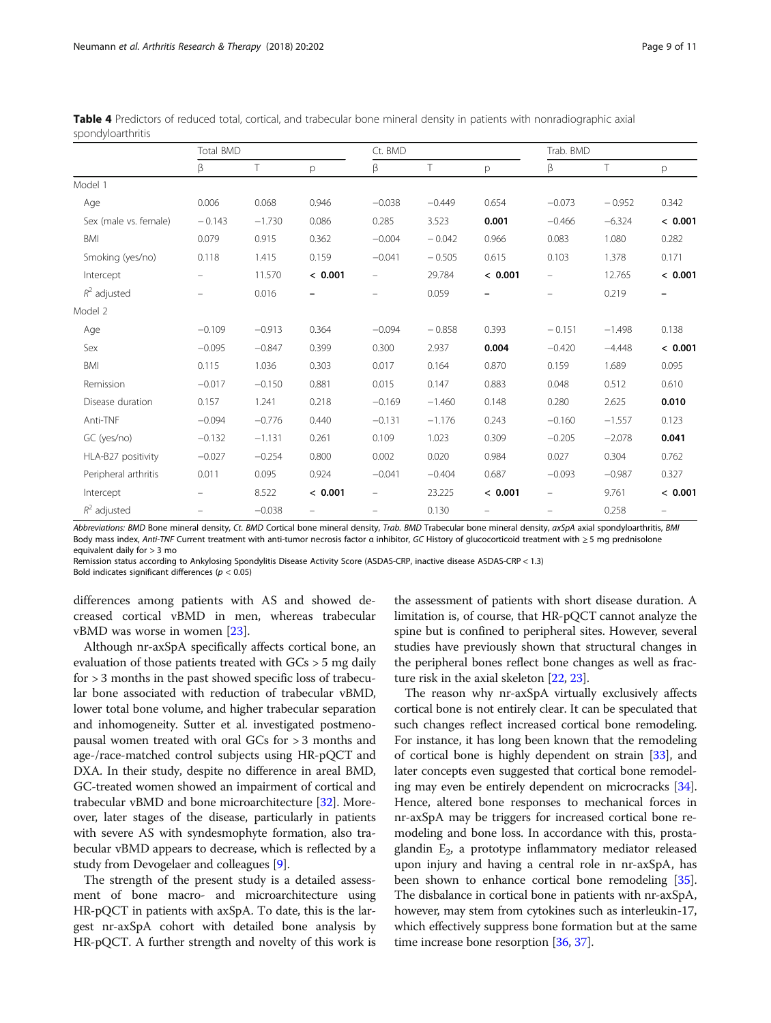|                       | Total BMD                |          |         | Ct. BMD                        |          |         | Trab. BMD |          |         |
|-----------------------|--------------------------|----------|---------|--------------------------------|----------|---------|-----------|----------|---------|
|                       | β                        | T.       | p       | β                              | $\top$   | р       | β         | $\top$   | p       |
| Model 1               |                          |          |         |                                |          |         |           |          |         |
| Age                   | 0.006                    | 0.068    | 0.946   | $-0.038$                       | $-0.449$ | 0.654   | $-0.073$  | $-0.952$ | 0.342   |
| Sex (male vs. female) | $-0.143$                 | $-1.730$ | 0.086   | 0.285                          | 3.523    | 0.001   | $-0.466$  | $-6.324$ | < 0.001 |
| <b>BMI</b>            | 0.079                    | 0.915    | 0.362   | $-0.004$                       | $-0.042$ | 0.966   | 0.083     | 1.080    | 0.282   |
| Smoking (yes/no)      | 0.118                    | 1.415    | 0.159   | $-0.041$                       | $-0.505$ | 0.615   | 0.103     | 1.378    | 0.171   |
| Intercept             | $\overline{\phantom{0}}$ | 11.570   | < 0.001 | $\qquad \qquad \longleftarrow$ | 29.784   | < 0.001 |           | 12.765   | < 0.001 |
| $R^2$ adjusted        | $\overline{\phantom{0}}$ | 0.016    |         | $\overline{\phantom{m}}$       | 0.059    |         | ÷,        | 0.219    |         |
| Model 2               |                          |          |         |                                |          |         |           |          |         |
| Age                   | $-0.109$                 | $-0.913$ | 0.364   | $-0.094$                       | $-0.858$ | 0.393   | $-0.151$  | $-1.498$ | 0.138   |
| Sex                   | $-0.095$                 | $-0.847$ | 0.399   | 0.300                          | 2.937    | 0.004   | $-0.420$  | $-4.448$ | < 0.001 |
| <b>BMI</b>            | 0.115                    | 1.036    | 0.303   | 0.017                          | 0.164    | 0.870   | 0.159     | 1.689    | 0.095   |
| Remission             | $-0.017$                 | $-0.150$ | 0.881   | 0.015                          | 0.147    | 0.883   | 0.048     | 0.512    | 0.610   |
| Disease duration      | 0.157                    | 1.241    | 0.218   | $-0.169$                       | $-1.460$ | 0.148   | 0.280     | 2.625    | 0.010   |
| Anti-TNF              | $-0.094$                 | $-0.776$ | 0.440   | $-0.131$                       | $-1.176$ | 0.243   | $-0.160$  | $-1.557$ | 0.123   |
| GC (yes/no)           | $-0.132$                 | $-1.131$ | 0.261   | 0.109                          | 1.023    | 0.309   | $-0.205$  | $-2.078$ | 0.041   |
| HLA-B27 positivity    | $-0.027$                 | $-0.254$ | 0.800   | 0.002                          | 0.020    | 0.984   | 0.027     | 0.304    | 0.762   |
| Peripheral arthritis  | 0.011                    | 0.095    | 0.924   | $-0.041$                       | $-0.404$ | 0.687   | $-0.093$  | $-0.987$ | 0.327   |
| Intercept             |                          | 8.522    | < 0.001 |                                | 23.225   | < 0.001 |           | 9.761    | < 0.001 |
| $R^2$ adjusted        |                          | $-0.038$ |         |                                | 0.130    |         |           | 0.258    |         |

<span id="page-8-0"></span>Table 4 Predictors of reduced total, cortical, and trabecular bone mineral density in patients with nonradiographic axial spondyloarthritis

Abbreviations: BMD Bone mineral density, Ct. BMD Cortical bone mineral density, Trab. BMD Trabecular bone mineral density, axSpA axial spondyloarthritis, BMI Body mass index, Anti-TNF Current treatment with anti-tumor necrosis factor α inhibitor, GC History of glucocorticoid treatment with ≥ 5 mg prednisolone equivalent daily for  $> 3$  mo

Remission status according to Ankylosing Spondylitis Disease Activity Score (ASDAS-CRP, inactive disease ASDAS-CRP < 1.3)

Bold indicates significant differences ( $p < 0.05$ )

differences among patients with AS and showed decreased cortical vBMD in men, whereas trabecular vBMD was worse in women [\[23\]](#page-10-0).

Although nr-axSpA specifically affects cortical bone, an evaluation of those patients treated with GCs > 5 mg daily for > 3 months in the past showed specific loss of trabecular bone associated with reduction of trabecular vBMD, lower total bone volume, and higher trabecular separation and inhomogeneity. Sutter et al. investigated postmenopausal women treated with oral GCs for > 3 months and age-/race-matched control subjects using HR-pQCT and DXA. In their study, despite no difference in areal BMD, GC-treated women showed an impairment of cortical and trabecular vBMD and bone microarchitecture [\[32\]](#page-10-0). Moreover, later stages of the disease, particularly in patients with severe AS with syndesmophyte formation, also trabecular vBMD appears to decrease, which is reflected by a study from Devogelaer and colleagues [[9\]](#page-9-0).

The strength of the present study is a detailed assessment of bone macro- and microarchitecture using HR-pQCT in patients with axSpA. To date, this is the largest nr-axSpA cohort with detailed bone analysis by HR-pQCT. A further strength and novelty of this work is

the assessment of patients with short disease duration. A limitation is, of course, that HR-pQCT cannot analyze the spine but is confined to peripheral sites. However, several studies have previously shown that structural changes in the peripheral bones reflect bone changes as well as fracture risk in the axial skeleton [\[22,](#page-10-0) [23](#page-10-0)].

The reason why nr-axSpA virtually exclusively affects cortical bone is not entirely clear. It can be speculated that such changes reflect increased cortical bone remodeling. For instance, it has long been known that the remodeling of cortical bone is highly dependent on strain [[33](#page-10-0)], and later concepts even suggested that cortical bone remodeling may even be entirely dependent on microcracks [[34](#page-10-0)]. Hence, altered bone responses to mechanical forces in nr-axSpA may be triggers for increased cortical bone remodeling and bone loss. In accordance with this, prostaglandin  $E_2$ , a prototype inflammatory mediator released upon injury and having a central role in nr-axSpA, has been shown to enhance cortical bone remodeling [[35](#page-10-0)]. The disbalance in cortical bone in patients with nr-axSpA, however, may stem from cytokines such as interleukin-17, which effectively suppress bone formation but at the same time increase bone resorption [[36](#page-10-0), [37\]](#page-10-0).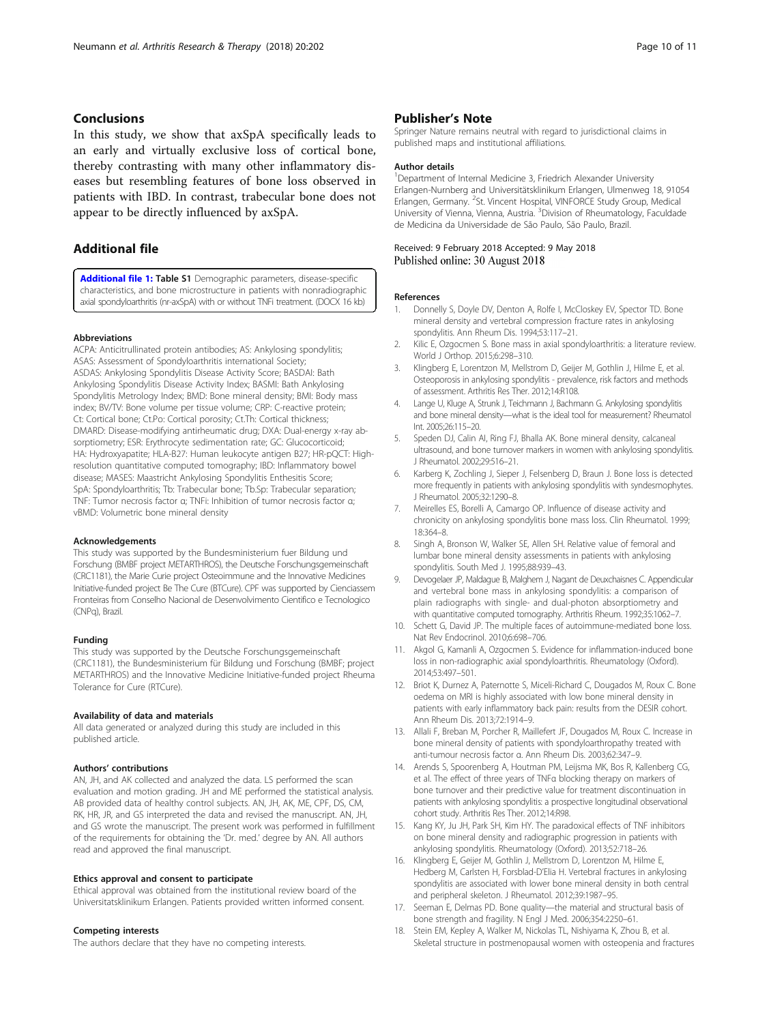# <span id="page-9-0"></span>**Conclusions**

In this study, we show that axSpA specifically leads to an early and virtually exclusive loss of cortical bone, thereby contrasting with many other inflammatory diseases but resembling features of bone loss observed in patients with IBD. In contrast, trabecular bone does not appear to be directly influenced by axSpA.

# Additional file

[Additional file 1:](https://doi.org/10.1186/s13075-018-1620-1) Table S1 Demographic parameters, disease-specific characteristics, and bone microstructure in patients with nonradiographic axial spondyloarthritis (nr-axSpA) with or without TNFi treatment. (DOCX 16 kb)

#### Abbreviations

ACPA: Anticitrullinated protein antibodies; AS: Ankylosing spondylitis; ASAS: Assessment of Spondyloarthritis international Society; ASDAS: Ankylosing Spondylitis Disease Activity Score; BASDAI: Bath Ankylosing Spondylitis Disease Activity Index; BASMI: Bath Ankylosing Spondylitis Metrology Index; BMD: Bone mineral density; BMI: Body mass index; BV/TV: Bone volume per tissue volume; CRP: C-reactive protein; Ct: Cortical bone; Ct.Po: Cortical porosity; Ct.Th: Cortical thickness; DMARD: Disease-modifying antirheumatic drug; DXA: Dual-energy x-ray absorptiometry; ESR: Erythrocyte sedimentation rate; GC: Glucocorticoid; HA: Hydroxyapatite; HLA-B27: Human leukocyte antigen B27; HR-pQCT: Highresolution quantitative computed tomography; IBD: Inflammatory bowel disease; MASES: Maastricht Ankylosing Spondylitis Enthesitis Score; SpA: Spondyloarthritis; Tb: Trabecular bone; Tb.Sp: Trabecular separation; TNF: Tumor necrosis factor α; TNFi: Inhibition of tumor necrosis factor α; vBMD: Volumetric bone mineral density

#### Acknowledgements

This study was supported by the Bundesministerium fuer Bildung und Forschung (BMBF project METARTHROS), the Deutsche Forschungsgemeinschaft (CRC1181), the Marie Curie project Osteoimmune and the Innovative Medicines Initiative-funded project Be The Cure (BTCure). CPF was supported by Cienciassem Fronteiras from Conselho Nacional de Desenvolvimento Cientifico e Tecnologico (CNPq), Brazil.

#### Funding

This study was supported by the Deutsche Forschungsgemeinschaft (CRC1181), the Bundesministerium für Bildung und Forschung (BMBF; project METARTHROS) and the Innovative Medicine Initiative-funded project Rheuma Tolerance for Cure (RTCure).

#### Availability of data and materials

All data generated or analyzed during this study are included in this published article.

## Authors' contributions

AN, JH, and AK collected and analyzed the data. LS performed the scan evaluation and motion grading. JH and ME performed the statistical analysis. AB provided data of healthy control subjects. AN, JH, AK, ME, CPF, DS, CM, RK, HR, JR, and GS interpreted the data and revised the manuscript. AN, JH, and GS wrote the manuscript. The present work was performed in fulfillment of the requirements for obtaining the 'Dr. med.' degree by AN. All authors read and approved the final manuscript.

#### Ethics approval and consent to participate

Ethical approval was obtained from the institutional review board of the Universitatsklinikum Erlangen. Patients provided written informed consent.

### Competing interests

The authors declare that they have no competing interests.

# Publisher's Note

Springer Nature remains neutral with regard to jurisdictional claims in published maps and institutional affiliations.

#### Author details

<sup>1</sup>Department of Internal Medicine 3, Friedrich Alexander University Erlangen-Nurnberg and Universitätsklinikum Erlangen, Ulmenweg 18, 91054 Erlangen, Germany. <sup>2</sup>St. Vincent Hospital, VINFORCE Study Group, Medical University of Vienna, Vienna, Austria. <sup>3</sup> Division of Rheumatology, Faculdade de Medicina da Universidade de São Paulo, São Paulo, Brazil.

# Received: 9 February 2018 Accepted: 9 May 2018<br>Published online: 30 August 2018

#### References

- 1. Donnelly S, Doyle DV, Denton A, Rolfe I, McCloskey EV, Spector TD. Bone mineral density and vertebral compression fracture rates in ankylosing spondylitis. Ann Rheum Dis. 1994;53:117–21.
- 2. Kilic E, Ozgocmen S. Bone mass in axial spondyloarthritis: a literature review. World J Orthop. 2015;6:298–310.
- 3. Klingberg E, Lorentzon M, Mellstrom D, Geijer M, Gothlin J, Hilme E, et al. Osteoporosis in ankylosing spondylitis - prevalence, risk factors and methods of assessment. Arthritis Res Ther. 2012;14:R108.
- 4. Lange U, Kluge A, Strunk J, Teichmann J, Bachmann G. Ankylosing spondylitis and bone mineral density—what is the ideal tool for measurement? Rheumatol Int. 2005;26:115–20.
- 5. Speden DJ, Calin AI, Ring FJ, Bhalla AK. Bone mineral density, calcaneal ultrasound, and bone turnover markers in women with ankylosing spondylitis. J Rheumatol. 2002;29:516–21.
- 6. Karberg K, Zochling J, Sieper J, Felsenberg D, Braun J. Bone loss is detected more frequently in patients with ankylosing spondylitis with syndesmophytes. J Rheumatol. 2005;32:1290–8.
- 7. Meirelles ES, Borelli A, Camargo OP. Influence of disease activity and chronicity on ankylosing spondylitis bone mass loss. Clin Rheumatol. 1999; 18:364–8.
- 8. Singh A, Bronson W, Walker SE, Allen SH. Relative value of femoral and lumbar bone mineral density assessments in patients with ankylosing spondylitis. South Med J. 1995;88:939–43.
- Devogelaer JP, Maldague B, Malghem J, Nagant de Deuxchaisnes C. Appendicular and vertebral bone mass in ankylosing spondylitis: a comparison of plain radiographs with single- and dual-photon absorptiometry and with quantitative computed tomography. Arthritis Rheum. 1992;35:1062–7.
- 10. Schett G, David JP. The multiple faces of autoimmune-mediated bone loss. Nat Rev Endocrinol. 2010;6:698–706.
- 11. Akgol G, Kamanli A, Ozgocmen S. Evidence for inflammation-induced bone loss in non-radiographic axial spondyloarthritis. Rheumatology (Oxford). 2014;53:497–501.
- 12. Briot K, Durnez A, Paternotte S, Miceli-Richard C, Dougados M, Roux C. Bone oedema on MRI is highly associated with low bone mineral density in patients with early inflammatory back pain: results from the DESIR cohort. Ann Rheum Dis. 2013;72:1914–9.
- 13. Allali F, Breban M, Porcher R, Maillefert JF, Dougados M, Roux C. Increase in bone mineral density of patients with spondyloarthropathy treated with anti-tumour necrosis factor α. Ann Rheum Dis. 2003;62:347–9.
- 14. Arends S, Spoorenberg A, Houtman PM, Leijsma MK, Bos R, Kallenberg CG, et al. The effect of three years of TNFα blocking therapy on markers of bone turnover and their predictive value for treatment discontinuation in patients with ankylosing spondylitis: a prospective longitudinal observational cohort study. Arthritis Res Ther. 2012;14:R98.
- 15. Kang KY, Ju JH, Park SH, Kim HY. The paradoxical effects of TNF inhibitors on bone mineral density and radiographic progression in patients with ankylosing spondylitis. Rheumatology (Oxford). 2013;52:718–26.
- 16. Klingberg E, Geijer M, Gothlin J, Mellstrom D, Lorentzon M, Hilme E, Hedberg M, Carlsten H, Forsblad-D'Elia H. Vertebral fractures in ankylosing spondylitis are associated with lower bone mineral density in both central and peripheral skeleton. J Rheumatol. 2012;39:1987–95.
- 17. Seeman E, Delmas PD. Bone quality—the material and structural basis of bone strength and fragility. N Engl J Med. 2006;354:2250–61.
- 18. Stein EM, Kepley A, Walker M, Nickolas TL, Nishiyama K, Zhou B, et al. Skeletal structure in postmenopausal women with osteopenia and fractures